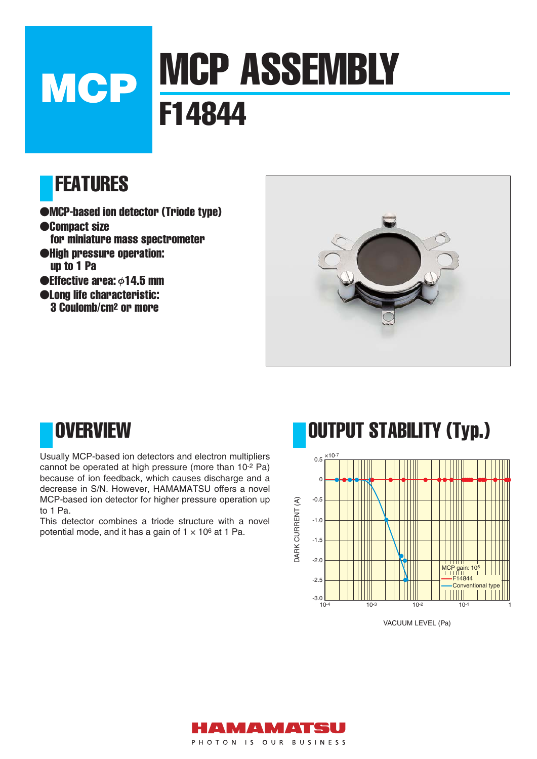# MCP ASSEMBLY **MCP WILLET**

### FEATURES

- ●MCP-based ion detector (Triode type)
- ●Compact size for miniature mass spectrometer ●High pressure operation: up to 1 Pa  $\bullet$ Effective area:  $\phi$ 14.5 mm ●Long life characteristic: 3 Coulomb/cm2 or more



### **OVERVIEW**

Usually MCP-based ion detectors and electron multipliers cannot be operated at high pressure (more than 10-2 Pa) because of ion feedback, which causes discharge and a decrease in S/N. However, HAMAMATSU offers a novel MCP-based ion detector for higher pressure operation up to 1 Pa.

This detector combines a triode structure with a novel potential mode, and it has a gain of  $1 \times 10^6$  at 1 Pa.